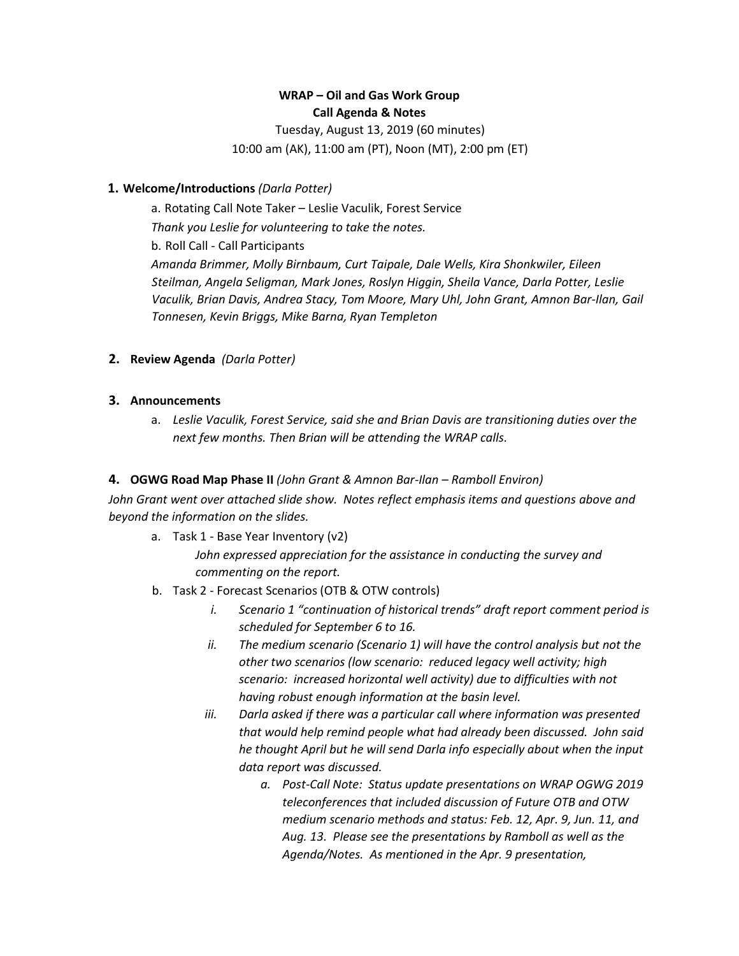# **WRAP – Oil and Gas Work Group Call Agenda & Notes**

Tuesday, August 13, 2019 (60 minutes) 10:00 am (AK), 11:00 am (PT), Noon (MT), 2:00 pm (ET)

### **1. Welcome/Introductions** *(Darla Potter)*

a. Rotating Call Note Taker – Leslie Vaculik, Forest Service *Thank you Leslie for volunteering to take the notes.* b. Roll Call - Call Participants *Amanda Brimmer, Molly Birnbaum, Curt Taipale, Dale Wells, Kira Shonkwiler, Eileen Steilman, Angela Seligman, Mark Jones, Roslyn Higgin, Sheila Vance, Darla Potter, Leslie Vaculik, Brian Davis, Andrea Stacy, Tom Moore, Mary Uhl, John Grant, Amnon Bar-Ilan, Gail Tonnesen, Kevin Briggs, Mike Barna, Ryan Templeton*

### **2. Review Agenda** *(Darla Potter)*

### **3. Announcements**

a. *Leslie Vaculik, Forest Service, said she and Brian Davis are transitioning duties over the next few months. Then Brian will be attending the WRAP calls.*

## **4. OGWG Road Map Phase II** *(John Grant & Amnon Bar-Ilan – Ramboll Environ)*

*John Grant went over attached slide show. Notes reflect emphasis items and questions above and beyond the information on the slides.*

a. Task 1 - Base Year Inventory (v2)

*John expressed appreciation for the assistance in conducting the survey and commenting on the report.*

- b. Task 2 Forecast Scenarios (OTB & OTW controls)
	- *i. Scenario 1 "continuation of historical trends" draft report comment period is scheduled for September 6 to 16.*
	- *ii. The medium scenario (Scenario 1) will have the control analysis but not the other two scenarios (low scenario: reduced legacy well activity; high scenario: increased horizontal well activity) due to difficulties with not having robust enough information at the basin level.*
	- *iii. Darla asked if there was a particular call where information was presented that would help remind people what had already been discussed. John said he thought April but he will send Darla info especially about when the input data report was discussed.*
		- *a. Post-Call Note: Status update presentations on WRAP OGWG 2019 teleconferences that included discussion of Future OTB and OTW medium scenario methods and status: Feb. 12, Apr. 9, Jun. 11, and Aug. 13. Please see the presentations by Ramboll as well as the Agenda/Notes. As mentioned in the Apr. 9 presentation,*